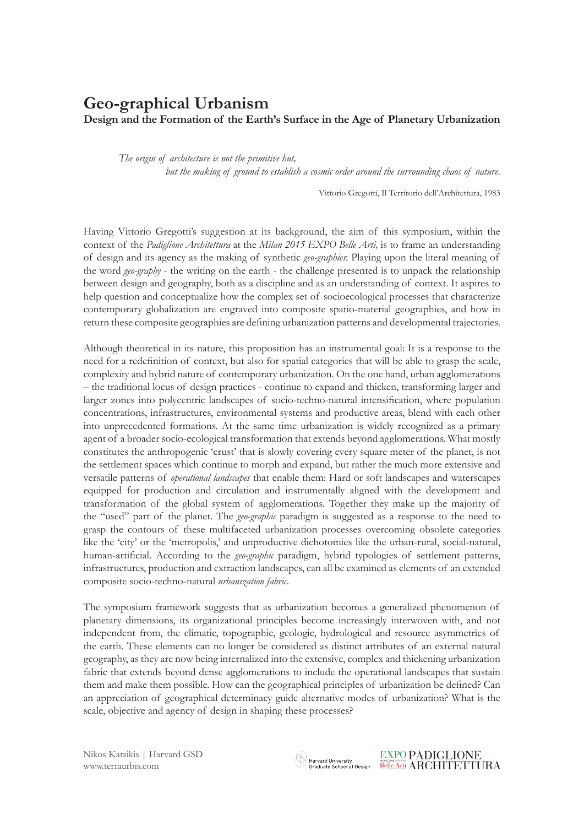## **Geo-graphical Urbanism**

**Design and the Formation of the Earth's Surface in the Age of Planetary Urbanization**

*The origin of architecture is not the primitive hut, but the making of ground to establish a cosmic order around the surrounding chaos of nature.*

Vittorio Gregotti, Il Territorio dell'Architettura, 1983

Having Vittorio Gregotti's suggestion at its background, the aim of this symposium, within the context of the *Padiglione Architettura* at the *Milan 2015 EXPO Belle Arti,* is to frame an understanding of design and its agency as the making of synthetic *geo-graphies*: Playing upon the literal meaning of the word *geo-graphy* - the writing on the earth - the challenge presented is to unpack the relationship between design and geography, both as a discipline and as an understanding of context. It aspires to help question and conceptualize how the complex set of socioecological processes that characterize contemporary globalization are engraved into composite spatio-material geographies, and how in return these composite geographies are defining urbanization patterns and developmental trajectories.

Although theoretical in its nature, this proposition has an instrumental goal: It is a response to the need for a redefinition of context, but also for spatial categories that will be able to grasp the scale, complexity and hybrid nature of contemporary urbanization. On the one hand, urban agglomerations – the traditional locus of design practices - continue to expand and thicken, transforming larger and larger zones into polycentric landscapes of socio-techno-natural intensification, where population concentrations, infrastructures, environmental systems and productive areas, blend with each other into unprecedented formations. At the same time urbanization is widely recognized as a primary agent of a broader socio-ecological transformation that extends beyond agglomerations. What mostly constitutes the anthropogenic 'crust' that is slowly covering every square meter of the planet, is not the settlement spaces which continue to morph and expand, but rather the much more extensive and versatile patterns of *operational landscapes* that enable them: Hard or soft landscapes and waterscapes equipped for production and circulation and instrumentally aligned with the development and transformation of the global system of agglomerations. Together they make up the majority of the "used" part of the planet. The *geo-graphic* paradigm is suggested as a response to the need to grasp the contours of these multifaceted urbanization processes overcoming obsolete categories like the 'city' or the 'metropolis,' and unproductive dichotomies like the urban-rural, social-natural, human-artificial. According to the *geo-graphic* paradigm, hybrid typologies of settlement patterns, infrastructures, production and extraction landscapes, can all be examined as elements of an extended composite socio-techno-natural *urbanization fabric*.

The symposium framework suggests that as urbanization becomes a generalized phenomenon of planetary dimensions, its organizational principles become increasingly interwoven with, and not independent from, the climatic, topographic, geologic, hydrological and resource asymmetries of the earth. These elements can no longer be considered as distinct attributes of an external natural geography, as they are now being internalized into the extensive, complex and thickening urbanization fabric that extends beyond dense agglomerations to include the operational landscapes that sustain them and make them possible. How can the geographical principles of urbanization be defined? Can an appreciation of geographical determinacy guide alternative modes of urbanization? What is the scale, objective and agency of design in shaping these processes?

**EXPO PADIGLIONE**  $\otimes$  Harvard University<br>Graduate School of Design  $\frac{\text{EAPO}}{\text{Belle Arti}}$   $\overline{\text{ARCHITETTURA}}$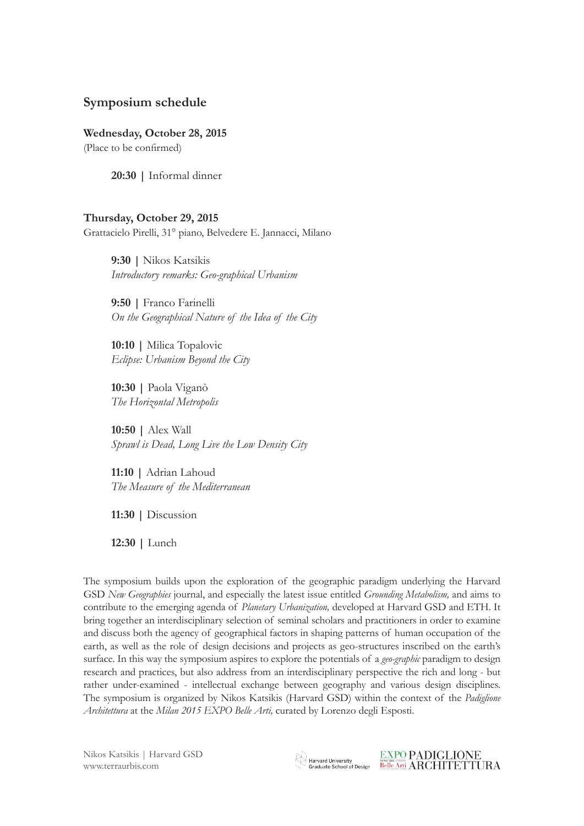## **Symposium schedule**

**Wednesday, October 28, 2015** (Place to be confirmed)

**20:30 |** Informal dinner

## **Thursday, October 29, 2015**

Grattacielo Pirelli, 31° piano, Belvedere E. Jannacci, Milano

**9:30 |** Nikos Katsikis *Introductory remarks: Geo-graphical Urbanism*

**9:50 |** Franco Farinelli *On the Geographical Nature of the Idea of the City*

**10:10 |** Milica Topalovic *Eclipse: Urbanism Beyond the City*

**10:30 |** Paola Viganò *The Horizontal Metropolis*

**10:50 |** Alex Wall *Sprawl is Dead, Long Live the Low Density City* 

**11:10 |** Adrian Lahoud *The Measure of the Mediterranean*

**11:30 |** Discussion

**12:30 |** Lunch

The symposium builds upon the exploration of the geographic paradigm underlying the Harvard GSD *New Geographies* journal, and especially the latest issue entitled *Grounding Metabolism,* and aims to contribute to the emerging agenda of *Planetary Urbanization,* developed at Harvard GSD and ETH. It bring together an interdisciplinary selection of seminal scholars and practitioners in order to examine and discuss both the agency of geographical factors in shaping patterns of human occupation of the earth, as well as the role of design decisions and projects as geo-structures inscribed on the earth's surface. In this way the symposium aspires to explore the potentials of a *geo-graphic* paradigm to design research and practices, but also address from an interdisciplinary perspective the rich and long - but rather under-examined - intellectual exchange between geography and various design disciplines. The symposium is organized by Nikos Katsikis (Harvard GSD) within the context of the *Padiglione Architettura* at the *Milan 2015 EXPO Belle Arti,* curated by Lorenzo degli Esposti.

**EXPO PADIGLIONE**  $\otimes$  Harvard University<br>Graduate School of Design  $\frac{\text{EAPO}}{\text{Belle Arti}}$   $\overline{\text{ARCHITETTURA}}$